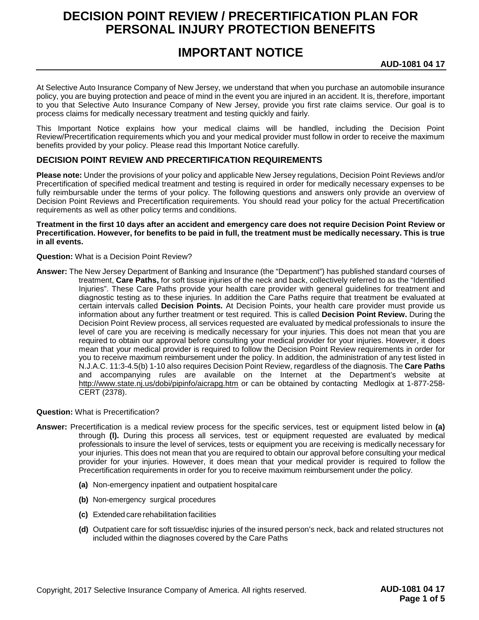# **DECISION POINT REVIEW / PRECERTIFICATION PLAN FOR PERSONAL INJURY PROTECTION BENEFITS**

# **IMPORTANT NOTICE**

**AUD-1081 04 17**

At Selective Auto Insurance Company of New Jersey, we understand that when you purchase an automobile insurance policy, you are buying protection and peace of mind in the event you are injured in an accident. It is, therefore, important to you that Selective Auto Insurance Company of New Jersey, provide you first rate claims service. Our goal is to process claims for medically necessary treatment and testing quickly and fairly.

This Important Notice explains how your medical claims will be handled, including the Decision Point Review/Precertification requirements which you and your medical provider must follow in order to receive the maximum benefits provided by your policy. Please read this Important Notice carefully.

# **DECISION POINT REVIEW AND PRECERTIFICATION REQUIREMENTS**

**Please note:** Under the provisions of your policy and applicable New Jersey regulations, Decision Point Reviews and/or Precertification of specified medical treatment and testing is required in order for medically necessary expenses to be fully reimbursable under the terms of your policy. The following questions and answers only provide an overview of Decision Point Reviews and Precertification requirements. You should read your policy for the actual Precertification requirements as well as other policy terms and conditions.

### **Treatment in the first 10 days after an accident and emergency care does not require Decision Point Review or Precertification. However, for benefits to be paid in full, the treatment must be medically necessary. This is true in all events.**

## **Question:** What is a Decision Point Review?

**Answer:** The New Jersey Department of Banking and Insurance (the "Department") has published standard courses of treatment, **Care Paths,** for soft tissue injuries of the neck and back, collectively referred to as the "Identified Injuries". These Care Paths provide your health care provider with general guidelines for treatment and diagnostic testing as to these injuries. In addition the Care Paths require that treatment be evaluated at certain intervals called **Decision Points.** At Decision Points, your health care provider must provide us information about any further treatment or test required. This is called **Decision Point Review.** During the Decision Point Review process, all services requested are evaluated by medical professionals to insure the level of care you are receiving is medically necessary for your injuries. This does not mean that you are required to obtain our approval before consulting your medical provider for your injuries. However, it does mean that your medical provider is required to follow the Decision Point Review requirements in order for you to receive maximum reimbursement under the policy. In addition, the administration of any test listed in N.J.A.C. 11:3-4.5(b) 1-10 also requires Decision Point Review, regardless of the diagnosis. The **Care Paths**  and accompanying rules are available on the Internet at the Department's website at <http://www.state.nj.us/dobi/pipinfo/aicrapg.htm> or can be obtained by contacting Medlogix at 1-877-258-CERT (2378).

### **Question:** What is Precertification?

- **Answer:** Precertification is a medical review process for the specific services, test or equipment listed below in **(a)**  through **(l).** During this process all services, test or equipment requested are evaluated by medical professionals to insure the level of services, tests or equipment you are receiving is medically necessary for your injuries. This does not mean that you are required to obtain our approval before consulting your medical provider for your injuries. However, it does mean that your medical provider is required to follow the Precertification requirements in order for you to receive maximum reimbursement under the policy.
	- **(a)** Non-emergency inpatient and outpatient hospital care
	- **(b)** Non-emergency surgical procedures
	- **(c)** Extended care rehabilitation facilities
	- **(d)** Outpatient care for soft tissue/disc injuries of the insured person's neck, back and related structures not included within the diagnoses covered by the Care Paths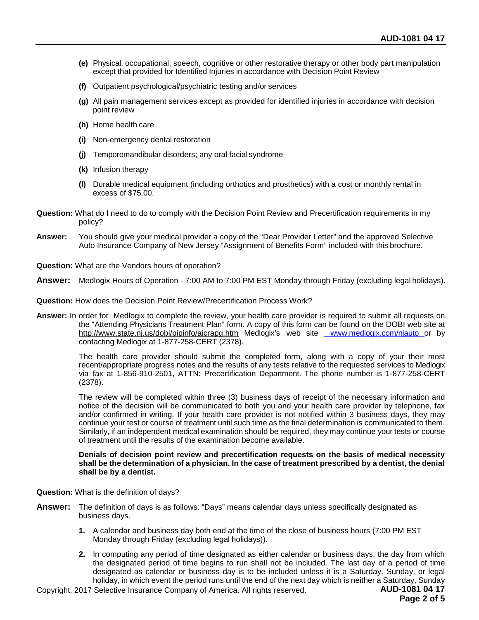- **(e)** Physical, occupational, speech, cognitive or other restorative therapy or other body part manipulation except that provided for Identified Injuries in accordance with Decision Point Review
- **(f)** Outpatient psychological/psychiatric testing and/or services
- **(g)** All pain management services except as provided for identified injuries in accordance with decision point review
- **(h)** Home health care
- **(i)** Non-emergency dental restoration
- **(j)** Temporomandibular disorders; any oral facial syndrome
- **(k)** Infusion therapy
- **(l)** Durable medical equipment (including orthotics and prosthetics) with a cost or monthly rental in excess of \$75.00.
- **Question:** What do I need to do to comply with the Decision Point Review and Precertification requirements in my policy?
- **Answer:** You should give your medical provider a copy of the "Dear Provider Letter" and the approved Selective Auto Insurance Company of New Jersey "Assignment of Benefits Form" included with this brochure.
- **Question:** What are the Vendors hours of operation?
- **Answer:** Medlogix Hours of Operation 7:00 AM to 7:00 PM EST Monday through Friday (excluding legal holidays).

**Question:** How does the Decision Point Review/Precertification Process Work?

**Answer:** In order for Medlogix to complete the review, your health care provider is required to submit all requests on the "Attending Physicians Treatment Plan" form. A copy of this form can be found on the DOBI web site at <http://www.state.nj.us/dobi/pipinfo/aicrapg.htm> Medlogix's web site www.medlogix.com/njauto or by contacting Medlogix at 1-877-258-CERT (2378).

> The health care provider should submit the completed form, along with a copy of your their most recent/appropriate progress notes and the results of any tests relative to the requested services to Medlogix via fax at 1-856-910-2501, ATTN: Precertification Department. The phone number is 1-877-258-CERT (2378).

> The review will be completed within three (3) business days of receipt of the necessary information and notice of the decision will be communicated to both you and your health care provider by telephone, fax and/or confirmed in writing. If your health care provider is not notified within 3 business days, they may continue your test or course of treatment until such time as the final determination is communicated to them. Similarly, if an independent medical examination should be required, they may continue your tests or course of treatment until the results of the examination become available.

#### **Denials of decision point review and precertification requests on the basis of medical necessity shall be the determination of a physician. In the case of treatment prescribed by a dentist, the denial shall be by a dentist.**

**Question:** What is the definition of days?

- **Answer:** The definition of days is as follows: "Days" means calendar days unless specifically designated as business days.
	- **1.** A calendar and business day both end at the time of the close of business hours (7:00 PM EST Monday through Friday (excluding legal holidays)).
	- **2.** In computing any period of time designated as either calendar or business days, the day from which the designated period of time begins to run shall not be included. The last day of a period of time designated as calendar or business day is to be included unless it is a Saturday, Sunday, or legal holiday, in which event the period runs until the end of the next day which is neither a Saturday, Sunday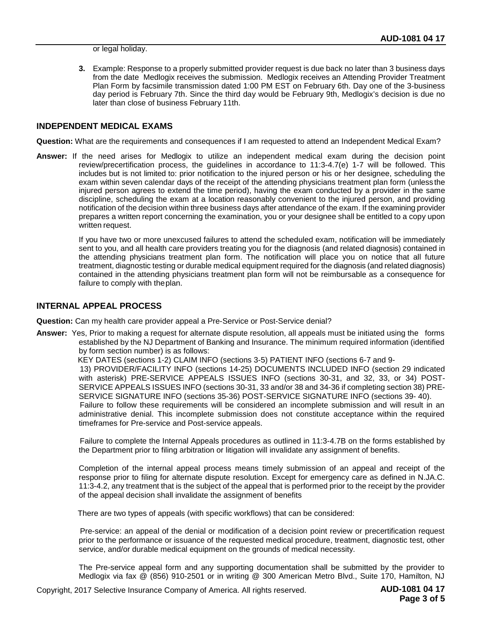or legal holiday.

**3.** Example: Response to a properly submitted provider request is due back no later than 3 business days from the date Medlogix receives the submission. Medlogix receives an Attending Provider Treatment Plan Form by facsimile transmission dated 1:00 PM EST on February 6th. Day one of the 3-business day period is February 7th. Since the third day would be February 9th, Medlogix's decision is due no later than close of business February 11th.

## **INDEPENDENT MEDICAL EXAMS**

**Question:** What are the requirements and consequences if I am requested to attend an Independent Medical Exam?

**Answer:** If the need arises for Medlogix to utilize an independent medical exam during the decision point review/precertification process, the guidelines in accordance to 11:3-4.7(e) 1-7 will be followed. This includes but is not limited to: prior notification to the injured person or his or her designee, scheduling the exam within seven calendar days of the receipt of the attending physicians treatment plan form (unless the injured person agrees to extend the time period), having the exam conducted by a provider in the same discipline, scheduling the exam at a location reasonably convenient to the injured person, and providing notification of the decision within three business days after attendance of the exam. If the examining provider prepares a written report concerning the examination, you or your designee shall be entitled to a copy upon written request.

> If you have two or more unexcused failures to attend the scheduled exam, notification will be immediately sent to you, and all health care providers treating you for the diagnosis (and related diagnosis) contained in the attending physicians treatment plan form. The notification will place you on notice that all future treatment, diagnostic testing or durable medical equipment required for the diagnosis (and related diagnosis) contained in the attending physicians treatment plan form will not be reimbursable as a consequence for failure to comply with theplan.

## **INTERNAL APPEAL PROCESS**

**Question:** Can my health care provider appeal a Pre-Service or Post-Service denial?

**Answer:** Yes, Prior to making a request for alternate dispute resolution, all appeals must be initiated using the forms established by the NJ Department of Banking and Insurance. The minimum required information (identified by form section number) is as follows:

KEY DATES (sections 1-2) CLAIM INFO (sections 3-5) PATIENT INFO (sections 6-7 and 9-

13) PROVIDER/FACILITY INFO (sections 14-25) DOCUMENTS INCLUDED INFO (section 29 indicated with asterisk) PRE-SERVICE APPEALS ISSUES INFO (sections 30-31, and 32, 33, or 34) POST-SERVICE APPEALS ISSUES INFO (sections 30-31, 33 and/or 38 and 34-36 if completing section 38) PRE-SERVICE SIGNATURE INFO (sections 35-36) POST-SERVICE SIGNATURE INFO (sections 39- 40).

Failure to follow these requirements will be considered an incomplete submission and will result in an administrative denial. This incomplete submission does not constitute acceptance within the required timeframes for Pre-service and Post-service appeals.

Failure to complete the Internal Appeals procedures as outlined in 11:3-4.7B on the forms established by the Department prior to filing arbitration or litigation will invalidate any assignment of benefits.

Completion of the internal appeal process means timely submission of an appeal and receipt of the response prior to filing for alternate dispute resolution. Except for emergency care as defined in N.JA.C. 11:3-4.2, any treatment that is the subject of the appeal that is performed prior to the receipt by the provider of the appeal decision shall invalidate the assignment of benefits

There are two types of appeals (with specific workflows) that can be considered:

Pre-service: an appeal of the denial or modification of a decision point review or precertification request prior to the performance or issuance of the requested medical procedure, treatment, diagnostic test, other service, and/or durable medical equipment on the grounds of medical necessity.

The Pre-service appeal form and any supporting documentation shall be submitted by the provider to Medlogix via fax @ (856) 910-2501 or in writing @ 300 American Metro Blvd., Suite 170, Hamilton, NJ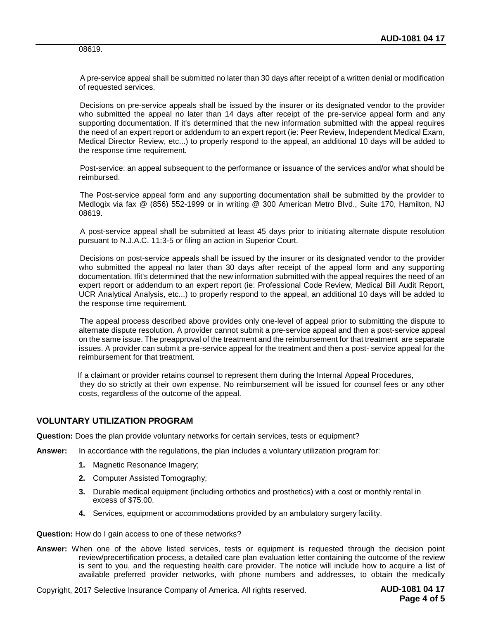08619.

A pre-service appeal shall be submitted no later than 30 days after receipt of a written denial or modification of requested services.

Decisions on pre-service appeals shall be issued by the insurer or its designated vendor to the provider who submitted the appeal no later than 14 days after receipt of the pre-service appeal form and any supporting documentation. If it's determined that the new information submitted with the appeal requires the need of an expert report or addendum to an expert report (ie: Peer Review, Independent Medical Exam, Medical Director Review, etc...) to properly respond to the appeal, an additional 10 days will be added to the response time requirement.

Post-service: an appeal subsequent to the performance or issuance of the services and/or what should be reimbursed.

The Post-service appeal form and any supporting documentation shall be submitted by the provider to Medlogix via fax @ (856) 552-1999 or in writing @ 300 American Metro Blvd., Suite 170, Hamilton, NJ 08619.

A post-service appeal shall be submitted at least 45 days prior to initiating alternate dispute resolution pursuant to N.J.A.C. 11:3-5 or filing an action in Superior Court.

Decisions on post-service appeals shall be issued by the insurer or its designated vendor to the provider who submitted the appeal no later than 30 days after receipt of the appeal form and any supporting documentation. Ifit's determined that the new information submitted with the appeal requires the need of an expert report or addendum to an expert report (ie: Professional Code Review, Medical Bill Audit Report, UCR Analytical Analysis, etc...) to properly respond to the appeal, an additional 10 days will be added to the response time requirement.

The appeal process described above provides only one-level of appeal prior to submitting the dispute to alternate dispute resolution. A provider cannot submit a pre-service appeal and then a post-service appeal on the same issue. The preapproval of the treatment and the reimbursement for that treatment are separate issues. A provider can submit a pre-service appeal for the treatment and then a post- service appeal for the reimbursement for that treatment.

If a claimant or provider retains counsel to represent them during the Internal Appeal Procedures, they do so strictly at their own expense. No reimbursement will be issued for counsel fees or any other costs, regardless of the outcome of the appeal.

## **VOLUNTARY UTILIZATION PROGRAM**

**Question:** Does the plan provide voluntary networks for certain services, tests or equipment?

- **Answer:** In accordance with the regulations, the plan includes a voluntary utilization program for:
	- **1.** Magnetic Resonance Imagery;
	- **2.** Computer Assisted Tomography;
	- **3.** Durable medical equipment (including orthotics and prosthetics) with a cost or monthly rental in excess of \$75.00.
	- **4.** Services, equipment or accommodations provided by an ambulatory surgery facility.

**Question:** How do I gain access to one of these networks?

**Answer:** When one of the above listed services, tests or equipment is requested through the decision point review/precertification process, a detailed care plan evaluation letter containing the outcome of the review is sent to you, and the requesting health care provider. The notice will include how to acquire a list of available preferred provider networks, with phone numbers and addresses, to obtain the medically